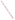